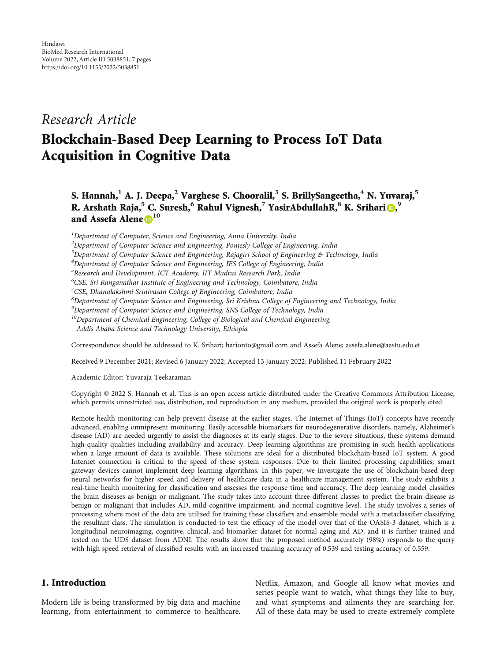# Research Article

# Blockchain-Based Deep Learning to Process IoT Data Acquisition in Cognitive Data

S. Hannah,**<sup>1</sup>** A. J. Deepa,**<sup>2</sup>** Varghese S. Chooralil,**<sup>3</sup>** S. BrillySangeetha,**<sup>4</sup>** N. Yuvaraj,**<sup>5</sup>** R. Arshath Raja,<sup>5</sup> C. Suresh,<sup>6</sup> Rahul Vignesh,<sup>7</sup> YasirAbdullahR,<sup>8</sup> K. Srihari (D, 9 and Assefa Alene **[1](https://orcid.org/0000-0002-4669-5130)0**

<sup>1</sup>Department of Computer, Science and Engineering, Anna University, India

<sup>4</sup>Department of Computer Science and Engineering, IES College of Engineering, India

6 CSE, Sri Ranganathar Institute of Engineering and Technology, Coimbatore, India

<sup>7</sup>CSE, Dhanalakshmi Srinivasan College of Engineering, Coimbatore, India

<sup>8</sup>Department of Computer Science and Engineering, Sri Krishna College of Engineering and Technology, India

<sup>9</sup>Department of Computer Science and Engineering, SNS College of Technology, India

<sup>10</sup>Department of Chemical Engineering, College of Biological and Chemical Engineering,

Addis Ababa Science and Technology University, Ethiopia

Correspondence should be addressed to K. Srihari; harionto@gmail.com and Assefa Alene; assefa.alene@aastu.edu.et

Received 9 December 2021; Revised 6 January 2022; Accepted 13 January 2022; Published 11 February 2022

Academic Editor: Yuvaraja Teekaraman

Copyright © 2022 S. Hannah et al. This is an open access article distributed under the [Creative Commons Attribution License](https://creativecommons.org/licenses/by/4.0/), which permits unrestricted use, distribution, and reproduction in any medium, provided the original work is properly cited.

Remote health monitoring can help prevent disease at the earlier stages. The Internet of Things (IoT) concepts have recently advanced, enabling omnipresent monitoring. Easily accessible biomarkers for neurodegenerative disorders, namely, Alzheimer's disease (AD) are needed urgently to assist the diagnoses at its early stages. Due to the severe situations, these systems demand high-quality qualities including availability and accuracy. Deep learning algorithms are promising in such health applications when a large amount of data is available. These solutions are ideal for a distributed blockchain-based IoT system. A good Internet connection is critical to the speed of these system responses. Due to their limited processing capabilities, smart gateway devices cannot implement deep learning algorithms. In this paper, we investigate the use of blockchain-based deep neural networks for higher speed and delivery of healthcare data in a healthcare management system. The study exhibits a real-time health monitoring for classification and assesses the response time and accuracy. The deep learning model classifies the brain diseases as benign or malignant. The study takes into account three different classes to predict the brain disease as benign or malignant that includes AD, mild cognitive impairment, and normal cognitive level. The study involves a series of processing where most of the data are utilized for training these classifiers and ensemble model with a metaclassifier classifying the resultant class. The simulation is conducted to test the efficacy of the model over that of the OASIS-3 dataset, which is a longitudinal neuroimaging, cognitive, clinical, and biomarker dataset for normal aging and AD, and it is further trained and tested on the UDS dataset from ADNI. The results show that the proposed method accurately (98%) responds to the query with high speed retrieval of classified results with an increased training accuracy of 0.539 and testing accuracy of 0.559.

#### 1. Introduction

Modern life is being transformed by big data and machine learning, from entertainment to commerce to healthcare. Netflix, Amazon, and Google all know what movies and series people want to watch, what things they like to buy, and what symptoms and ailments they are searching for. All of these data may be used to create extremely complete

 $^{2}$ Department of Computer Science and Engineering, Ponjesly College of Engineering, India

<sup>&</sup>lt;sup>3</sup>Department of Computer Science and Engineering, Rajagiri School of Engineering & Technology, India

 $^5$ Research and Development, ICT Academy, IIT Madras Research Park, India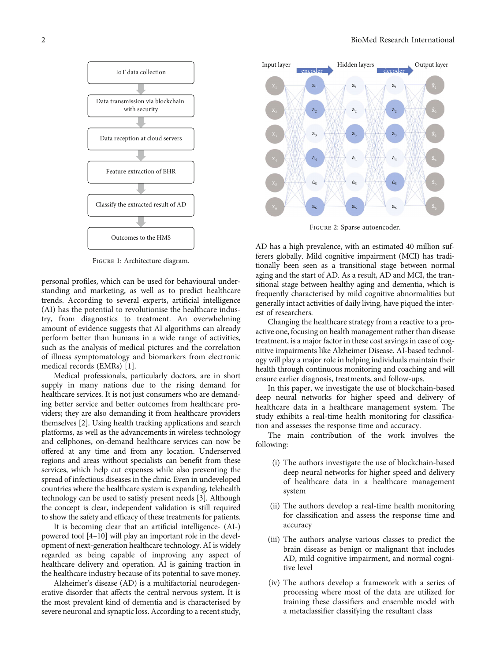<span id="page-1-0"></span>

Figure 1: Architecture diagram.

personal profiles, which can be used for behavioural understanding and marketing, as well as to predict healthcare trends. According to several experts, artificial intelligence (AI) has the potential to revolutionise the healthcare industry, from diagnostics to treatment. An overwhelming amount of evidence suggests that AI algorithms can already perform better than humans in a wide range of activities, such as the analysis of medical pictures and the correlation of illness symptomatology and biomarkers from electronic medical records (EMRs) [\[1](#page-5-0)].

Medical professionals, particularly doctors, are in short supply in many nations due to the rising demand for healthcare services. It is not just consumers who are demanding better service and better outcomes from healthcare providers; they are also demanding it from healthcare providers themselves [\[2](#page-5-0)]. Using health tracking applications and search platforms, as well as the advancements in wireless technology and cellphones, on-demand healthcare services can now be offered at any time and from any location. Underserved regions and areas without specialists can benefit from these services, which help cut expenses while also preventing the spread of infectious diseases in the clinic. Even in undeveloped countries where the healthcare system is expanding, telehealth technology can be used to satisfy present needs [\[3\]](#page-5-0). Although the concept is clear, independent validation is still required to show the safety and efficacy of these treatments for patients.

It is becoming clear that an artificial intelligence- (AI-) powered tool [[4](#page-5-0)–[10\]](#page-6-0) will play an important role in the development of next-generation healthcare technology. AI is widely regarded as being capable of improving any aspect of healthcare delivery and operation. AI is gaining traction in the healthcare industry because of its potential to save money.

Alzheimer's disease (AD) is a multifactorial neurodegenerative disorder that affects the central nervous system. It is the most prevalent kind of dementia and is characterised by severe neuronal and synaptic loss. According to a recent study,



Figure 2: Sparse autoencoder.

AD has a high prevalence, with an estimated 40 million sufferers globally. Mild cognitive impairment (MCI) has traditionally been seen as a transitional stage between normal aging and the start of AD. As a result, AD and MCI, the transitional stage between healthy aging and dementia, which is frequently characterised by mild cognitive abnormalities but generally intact activities of daily living, have piqued the interest of researchers.

Changing the healthcare strategy from a reactive to a proactive one, focusing on health management rather than disease treatment, is a major factor in these cost savings in case of cognitive impairments like Alzheimer Disease. AI-based technology will play a major role in helping individuals maintain their health through continuous monitoring and coaching and will ensure earlier diagnosis, treatments, and follow-ups.

In this paper, we investigate the use of blockchain-based deep neural networks for higher speed and delivery of healthcare data in a healthcare management system. The study exhibits a real-time health monitoring for classification and assesses the response time and accuracy.

The main contribution of the work involves the following:

- (i) The authors investigate the use of blockchain-based deep neural networks for higher speed and delivery of healthcare data in a healthcare management system
- (ii) The authors develop a real-time health monitoring for classification and assess the response time and accuracy
- (iii) The authors analyse various classes to predict the brain disease as benign or malignant that includes AD, mild cognitive impairment, and normal cognitive level
- (iv) The authors develop a framework with a series of processing where most of the data are utilized for training these classifiers and ensemble model with a metaclassifier classifying the resultant class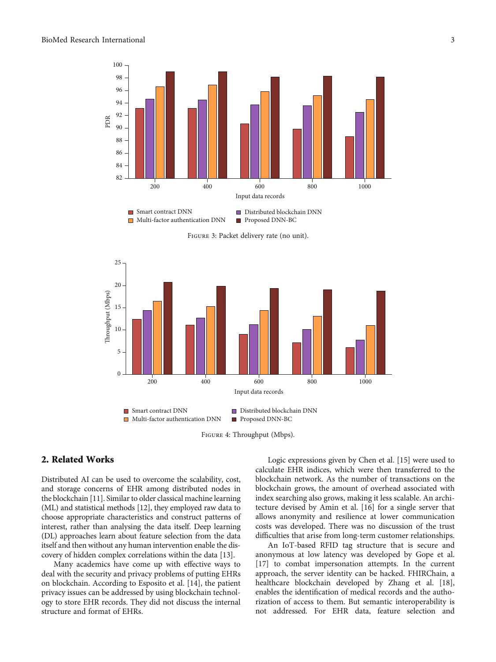<span id="page-2-0"></span>

Figure 3: Packet delivery rate (no unit).





# 2. Related Works

Distributed AI can be used to overcome the scalability, cost, and storage concerns of EHR among distributed nodes in the blockchain [\[11](#page-6-0)]. Similar to older classical machine learning (ML) and statistical methods [\[12](#page-6-0)], they employed raw data to choose appropriate characteristics and construct patterns of interest, rather than analysing the data itself. Deep learning (DL) approaches learn about feature selection from the data itself and then without any human intervention enable the discovery of hidden complex correlations within the data [\[13\]](#page-6-0).

Many academics have come up with effective ways to deal with the security and privacy problems of putting EHRs on blockchain. According to Esposito et al. [[14](#page-6-0)], the patient privacy issues can be addressed by using blockchain technology to store EHR records. They did not discuss the internal structure and format of EHRs.

Logic expressions given by Chen et al. [\[15](#page-6-0)] were used to calculate EHR indices, which were then transferred to the blockchain network. As the number of transactions on the blockchain grows, the amount of overhead associated with index searching also grows, making it less scalable. An architecture devised by Amin et al. [\[16\]](#page-6-0) for a single server that allows anonymity and resilience at lower communication costs was developed. There was no discussion of the trust difficulties that arise from long-term customer relationships.

An IoT-based RFID tag structure that is secure and anonymous at low latency was developed by Gope et al. [\[17\]](#page-6-0) to combat impersonation attempts. In the current approach, the server identity can be hacked. FHIRChain, a healthcare blockchain developed by Zhang et al. [[18](#page-6-0)], enables the identification of medical records and the authorization of access to them. But semantic interoperability is not addressed. For EHR data, feature selection and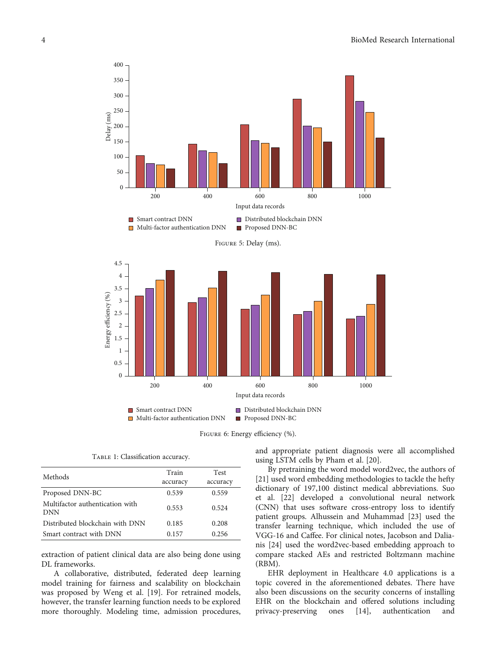<span id="page-3-0"></span>





TABLE 1: Classification accuracy.

| Methods                                       | Train<br>accuracy | <b>Test</b><br>accuracy |
|-----------------------------------------------|-------------------|-------------------------|
| Proposed DNN-BC                               | 0.539             | 0.559                   |
| Multifactor authentication with<br><b>DNN</b> | 0.553             | 0.524                   |
| Distributed blockchain with DNN               | 0.185             | 0.208                   |
| Smart contract with DNN                       | 0.157             | 0.256                   |

extraction of patient clinical data are also being done using DL frameworks.

A collaborative, distributed, federated deep learning model training for fairness and scalability on blockchain was proposed by Weng et al. [[19](#page-6-0)]. For retrained models, however, the transfer learning function needs to be explored more thoroughly. Modeling time, admission procedures,

and appropriate patient diagnosis were all accomplished using LSTM cells by Pham et al. [\[20\]](#page-6-0).

By pretraining the word model word2vec, the authors of [\[21\]](#page-6-0) used word embedding methodologies to tackle the hefty dictionary of 197,100 distinct medical abbreviations. Suo et al. [\[22\]](#page-6-0) developed a convolutional neural network (CNN) that uses software cross-entropy loss to identify patient groups. Alhussein and Muhammad [[23\]](#page-6-0) used the transfer learning technique, which included the use of VGG-16 and Caffee. For clinical notes, Jacobson and Dalianis [\[24\]](#page-6-0) used the word2vec-based embedding approach to compare stacked AEs and restricted Boltzmann machine (RBM).

EHR deployment in Healthcare 4.0 applications is a topic covered in the aforementioned debates. There have also been discussions on the security concerns of installing EHR on the blockchain and offered solutions including privacy-preserving ones [[14](#page-6-0)], authentication and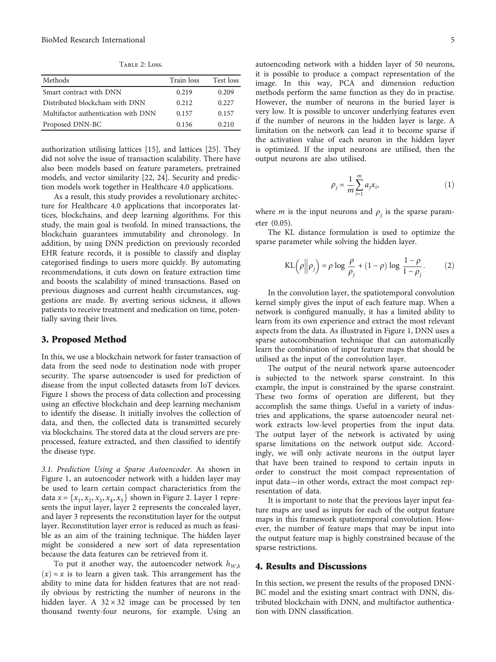Table 2: Loss.

<span id="page-4-0"></span>

| Methods                             | Train loss | Test loss |
|-------------------------------------|------------|-----------|
| Smart contract with DNN             | 0.219      | 0.209     |
| Distributed blockchain with DNN     | 0.212      | 0.227     |
| Multifactor authentication with DNN | 0.157      | 0.157     |
| Proposed DNN-BC                     | 0.156      | 0.210     |

authorization utilising lattices [[15](#page-6-0)], and lattices [[25](#page-6-0)]. They did not solve the issue of transaction scalability. There have also been models based on feature parameters, pretrained models, and vector similarity [[22, 24\]](#page-6-0). Security and prediction models work together in Healthcare 4.0 applications.

As a result, this study provides a revolutionary architecture for Healthcare 4.0 applications that incorporates lattices, blockchains, and deep learning algorithms. For this study, the main goal is twofold. In mined transactions, the blockchain guarantees immutability and chronology. In addition, by using DNN prediction on previously recorded EHR feature records, it is possible to classify and display categorised findings to users more quickly. By automating recommendations, it cuts down on feature extraction time and boosts the scalability of mined transactions. Based on previous diagnoses and current health circumstances, suggestions are made. By averting serious sickness, it allows patients to receive treatment and medication on time, potentially saving their lives.

## 3. Proposed Method

In this, we use a blockchain network for faster transaction of data from the seed node to destination node with proper security. The sparse autoencoder is used for prediction of disease from the input collected datasets from IoT devices. Figure [1](#page-1-0) shows the process of data collection and processing using an effective blockchain and deep learning mechanism to identify the disease. It initially involves the collection of data, and then, the collected data is transmitted securely via blockchains. The stored data at the cloud servers are preprocessed, feature extracted, and then classified to identify the disease type.

3.1. Prediction Using a Sparse Autoencoder. As shown in Figure [1,](#page-1-0) an autoencoder network with a hidden layer may be used to learn certain compact characteristics from the data  $x = \{x_1, x_2, x_3, x_4, x_5\}$  shown in Figure [2.](#page-1-0) Layer 1 represents the input layer, layer 2 represents the concealed layer, and layer 3 represents the reconstitution layer for the output layer. Reconstitution layer error is reduced as much as feasible as an aim of the training technique. The hidden layer might be considered a new sort of data representation because the data features can be retrieved from it.

To put it another way, the autoencoder network  $h_{W,h}$  $(x)$  ≈ *x* is to learn a given task. This arrangement has the ability to mine data for hidden features that are not readily obvious by restricting the number of neurons in the hidden layer. A  $32 \times 32$  image can be processed by ten thousand twenty-four neurons, for example. Using an

autoencoding network with a hidden layer of 50 neurons, it is possible to produce a compact representation of the image. In this way, PCA and dimension reduction methods perform the same function as they do in practise. However, the number of neurons in the buried layer is very low. It is possible to uncover underlying features even if the number of neurons in the hidden layer is large. A limitation on the network can lead it to become sparse if the activation value of each neuron in the hidden layer is optimized. If the input neurons are utilised, then the output neurons are also utilised.

$$
\rho_j = \frac{1}{m} \sum_{i=1}^{m} a_j x_i,
$$
\n(1)

where *m* is the input neurons and  $\rho_i$  is the sparse parameter (0.05).

The KL distance formulation is used to optimize the sparse parameter while solving the hidden layer.

$$
KL(\rho \|\rho_j) = \rho \log \frac{\rho}{\rho_j} + (1 - \rho) \log \frac{1 - \rho}{1 - \rho_j}.
$$
 (2)

In the convolution layer, the spatiotemporal convolution kernel simply gives the input of each feature map. When a network is configured manually, it has a limited ability to learn from its own experience and extract the most relevant aspects from the data. As illustrated in Figure [1](#page-1-0), DNN uses a sparse autocombination technique that can automatically learn the combination of input feature maps that should be utilised as the input of the convolution layer.

The output of the neural network sparse autoencoder is subjected to the network sparse constraint. In this example, the input is constrained by the sparse constraint. These two forms of operation are different, but they accomplish the same things. Useful in a variety of industries and applications, the sparse autoencoder neural network extracts low-level properties from the input data. The output layer of the network is activated by using sparse limitations on the network output side. Accordingly, we will only activate neurons in the output layer that have been trained to respond to certain inputs in order to construct the most compact representation of input data—in other words, extract the most compact representation of data.

It is important to note that the previous layer input feature maps are used as inputs for each of the output feature maps in this framework spatiotemporal convolution. However, the number of feature maps that may be input into the output feature map is highly constrained because of the sparse restrictions.

#### 4. Results and Discussions

In this section, we present the results of the proposed DNN-BC model and the existing smart contract with DNN, distributed blockchain with DNN, and multifactor authentication with DNN classification.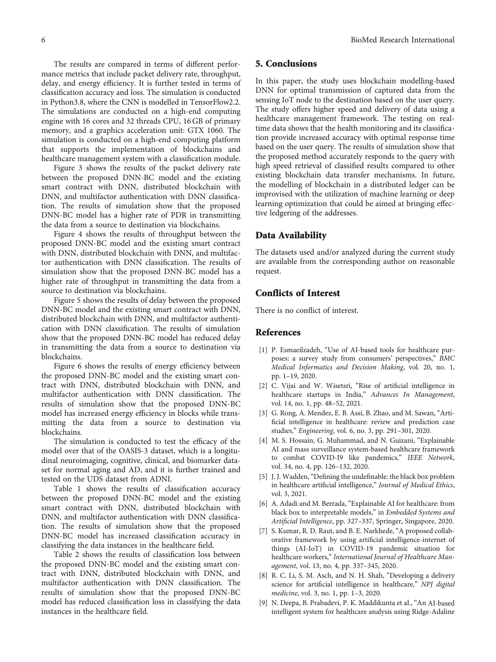<span id="page-5-0"></span>The results are compared in terms of different performance metrics that include packet delivery rate, throughput, delay, and energy efficiency. It is further tested in terms of classification accuracy and loss. The simulation is conducted in Python3.8, where the CNN is modelled in TensorFlow2.2. The simulations are conducted on a high-end computing engine with 16 cores and 32 threads CPU, 16 GB of primary memory, and a graphics acceleration unit: GTX 1060. The simulation is conducted on a high-end computing platform that supports the implementation of blockchains and healthcare management system with a classification module.

Figure [3](#page-2-0) shows the results of the packet delivery rate between the proposed DNN-BC model and the existing smart contract with DNN, distributed blockchain with DNN, and multifactor authentication with DNN classification. The results of simulation show that the proposed DNN-BC model has a higher rate of PDR in transmitting the data from a source to destination via blockchains.

Figure [4](#page-2-0) shows the results of throughput between the proposed DNN-BC model and the existing smart contract with DNN, distributed blockchain with DNN, and multifactor authentication with DNN classification. The results of simulation show that the proposed DNN-BC model has a higher rate of throughput in transmitting the data from a source to destination via blockchains.

Figure [5](#page-3-0) shows the results of delay between the proposed DNN-BC model and the existing smart contract with DNN, distributed blockchain with DNN, and multifactor authentication with DNN classification. The results of simulation show that the proposed DNN-BC model has reduced delay in transmitting the data from a source to destination via blockchains.

Figure [6](#page-3-0) shows the results of energy efficiency between the proposed DNN-BC model and the existing smart contract with DNN, distributed blockchain with DNN, and multifactor authentication with DNN classification. The results of simulation show that the proposed DNN-BC model has increased energy efficiency in blocks while transmitting the data from a source to destination via blockchains.

The simulation is conducted to test the efficacy of the model over that of the OASIS-3 dataset, which is a longitudinal neuroimaging, cognitive, clinical, and biomarker dataset for normal aging and AD, and it is further trained and tested on the UDS dataset from ADNI.

Table [1](#page-3-0) shows the results of classification accuracy between the proposed DNN-BC model and the existing smart contract with DNN, distributed blockchain with DNN, and multifactor authentication with DNN classification. The results of simulation show that the proposed DNN-BC model has increased classification accuracy in classifying the data instances in the healthcare field.

Table [2](#page-4-0) shows the results of classification loss between the proposed DNN-BC model and the existing smart contract with DNN, distributed blockchain with DNN, and multifactor authentication with DNN classification. The results of simulation show that the proposed DNN-BC model has reduced classification loss in classifying the data instances in the healthcare field.

#### 5. Conclusions

In this paper, the study uses blockchain modelling-based DNN for optimal transmission of captured data from the sensing IoT node to the destination based on the user query. The study offers higher speed and delivery of data using a healthcare management framework. The testing on realtime data shows that the health monitoring and its classification provide increased accuracy with optimal response time based on the user query. The results of simulation show that the proposed method accurately responds to the query with high speed retrieval of classified results compared to other existing blockchain data transfer mechanisms. In future, the modelling of blockchain in a distributed ledger can be improvised with the utilization of machine learning or deep learning optimization that could be aimed at bringing effective ledgering of the addresses.

#### Data Availability

The datasets used and/or analyzed during the current study are available from the corresponding author on reasonable request.

### Conflicts of Interest

There is no conflict of interest.

#### References

- [1] P. Esmaeilzadeh, "Use of AI-based tools for healthcare purposes: a survey study from consumers' perspectives," BMC Medical Informatics and Decision Making, vol. 20, no. 1, pp. 1–19, 2020.
- [2] C. Vijai and W. Wisetsri, "Rise of artificial intelligence in healthcare startups in India," Advances In Management, vol. 14, no. 1, pp. 48–52, 2021.
- [3] G. Rong, A. Mendez, E. B. Assi, B. Zhao, and M. Sawan, "Artificial intelligence in healthcare: review and prediction case studies," Engineering, vol. 6, no. 3, pp. 291–301, 2020.
- [4] M. S. Hossain, G. Muhammad, and N. Guizani, "Explainable AI and mass surveillance system-based healthcare framework to combat COVID-I9 like pandemics," IEEE Network, vol. 34, no. 4, pp. 126–132, 2020.
- [5] J. J. Wadden, "Defining the undefinable: the black box problem in healthcare artificial intelligence," Journal of Medical Ethics, vol. 3, 2021.
- [6] A. Adadi and M. Berrada, "Explainable AI for healthcare: from black box to interpretable models," in Embedded Systems and Artificial Intelligence, pp. 327–337, Springer, Singapore, 2020.
- [7] S. Kumar, R. D. Raut, and B. E. Narkhede, "A proposed collaborative framework by using artificial intelligence-internet of things (AI-IoT) in COVID-19 pandemic situation for healthcare workers," International Journal of Healthcare Management, vol. 13, no. 4, pp. 337–345, 2020.
- [8] R. C. Li, S. M. Asch, and N. H. Shah, "Developing a delivery science for artificial intelligence in healthcare," NPJ digital medicine, vol. 3, no. 1, pp. 1–3, 2020.
- [9] N. Deepa, B. Prabadevi, P. K. Maddikunta et al., "An AI-based intelligent system for healthcare analysis using Ridge-Adaline